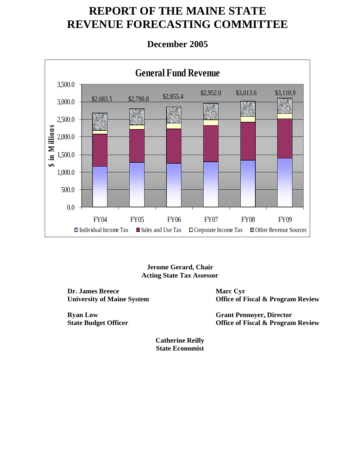# **REPORT OF THE MAINE STATE REVENUE FORECASTING COMMITTEE**

# **December 2005**



**Jerome Gerard, Chair Acting State Tax Assessor** 

**Dr. James Breece University of Maine System** 

**Ryan Low State Budget Officer**  **Marc Cyr Office of Fiscal & Program Review** 

**Grant Pennoyer, Director Office of Fiscal & Program Review** 

**Catherine Reilly State Economist**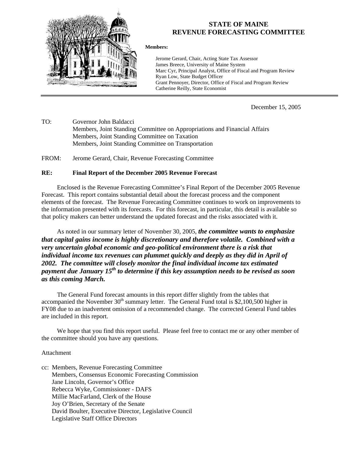

## **STATE OF MAINE REVENUE FORECASTING COMMITTEE**

**Members:** 

Jerome Gerard, Chair, Acting State Tax Assessor James Breece, University of Maine System Marc Cyr, Principal Analyst, Office of Fiscal and Program Review Ryan Low, State Budget Officer Grant Pennoyer, Director, Office of Fiscal and Program Review Catherine Reilly, State Economist

December 15, 2005

TO: Governor John Baldacci Members, Joint Standing Committee on Appropriations and Financial Affairs Members, Joint Standing Committee on Taxation Members, Joint Standing Committee on Transportation

FROM: Jerome Gerard, Chair, Revenue Forecasting Committee

#### **RE: Final Report of the December 2005 Revenue Forecast**

Enclosed is the Revenue Forecasting Committee's Final Report of the December 2005 Revenue Forecast. This report contains substantial detail about the forecast process and the component elements of the forecast. The Revenue Forecasting Committee continues to work on improvements to the information presented with its forecasts. For this forecast, in particular, this detail is available so that policy makers can better understand the updated forecast and the risks associated with it.

As noted in our summary letter of November 30, 2005, *the committee wants to emphasize that capital gains income is highly discretionary and therefore volatile. Combined with a very uncertain global economic and geo-political environment there is a risk that individual income tax revenues can plummet quickly and deeply as they did in April of 2002. The committee will closely monitor the final individual income tax estimated payment due January 15th to determine if this key assumption needs to be revised as soon as this coming March.* 

The General Fund forecast amounts in this report differ slightly from the tables that accompanied the November  $30<sup>th</sup>$  summary letter. The General Fund total is \$2,100,500 higher in FY08 due to an inadvertent omission of a recommended change. The corrected General Fund tables are included in this report.

We hope that you find this report useful. Please feel free to contact me or any other member of the committee should you have any questions.

#### Attachment

cc: Members, Revenue Forecasting Committee Members, Consensus Economic Forecasting Commission Jane Lincoln, Governor's Office Rebecca Wyke, Commissioner - DAFS Millie MacFarland, Clerk of the House Joy O'Brien, Secretary of the Senate David Boulter, Executive Director, Legislative Council Legislative Staff Office Directors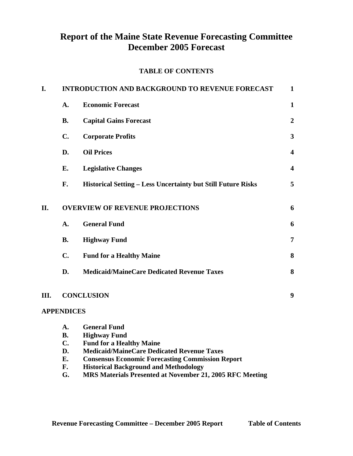# **Report of the Maine State Revenue Forecasting Committee December 2005 Forecast**

#### **TABLE OF CONTENTS**

| I. |                   | <b>INTRODUCTION AND BACKGROUND TO REVENUE FORECAST</b>              | $\mathbf 1$             |
|----|-------------------|---------------------------------------------------------------------|-------------------------|
|    | A.                | <b>Economic Forecast</b>                                            | $\mathbf{1}$            |
|    | <b>B.</b>         | <b>Capital Gains Forecast</b>                                       | $\boldsymbol{2}$        |
|    | C.                | <b>Corporate Profits</b>                                            | $\mathbf{3}$            |
|    | D.                | <b>Oil Prices</b>                                                   | $\overline{\mathbf{4}}$ |
|    | Е.                | <b>Legislative Changes</b>                                          | $\overline{\mathbf{4}}$ |
|    | F.                | <b>Historical Setting – Less Uncertainty but Still Future Risks</b> | 5                       |
| Π. |                   | <b>OVERVIEW OF REVENUE PROJECTIONS</b>                              | 6                       |
|    | A.                | <b>General Fund</b>                                                 | 6                       |
|    | <b>B.</b>         | <b>Highway Fund</b>                                                 | $\overline{7}$          |
|    | C.                | <b>Fund for a Healthy Maine</b>                                     | 8                       |
|    | D.                | <b>Medicaid/MaineCare Dedicated Revenue Taxes</b>                   | 8                       |
| Ш. |                   | <b>CONCLUSION</b>                                                   | $\boldsymbol{9}$        |
|    | <b>APPENDICES</b> |                                                                     |                         |
|    | A.                | <b>General Fund</b>                                                 |                         |
|    | <b>B.</b>         | <b>Highway Fund</b>                                                 |                         |
|    | $C_{\bullet}$     | <b>Fund for a Healthy Maine</b>                                     |                         |
|    | D.                | <b>Medicaid/MaineCare Dedicated Revenue Taxes</b>                   |                         |
|    | E.                | <b>Consensus Economic Forecasting Commission Report</b>             |                         |
|    | F.                | <b>Historical Background and Methodology</b>                        |                         |
|    | G.                | MRS Materials Presented at November 21, 2005 RFC Meeting            |                         |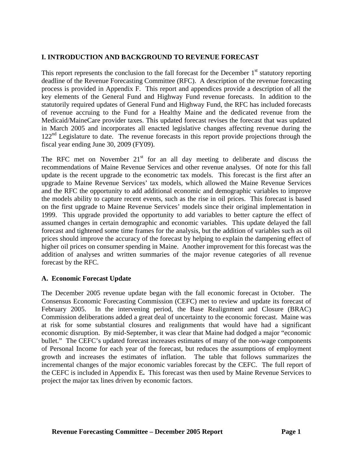## **I. INTRODUCTION AND BACKGROUND TO REVENUE FORECAST**

This report represents the conclusion to the fall forecast for the December  $1<sup>st</sup>$  statutory reporting deadline of the Revenue Forecasting Committee (RFC). A description of the revenue forecasting process is provided in Appendix F. This report and appendices provide a description of all the key elements of the General Fund and Highway Fund revenue forecasts. In addition to the statutorily required updates of General Fund and Highway Fund, the RFC has included forecasts of revenue accruing to the Fund for a Healthy Maine and the dedicated revenue from the Medicaid/MaineCare provider taxes. This updated forecast revises the forecast that was updated in March 2005 and incorporates all enacted legislative changes affecting revenue during the  $122<sup>nd</sup>$  Legislature to date. The revenue forecasts in this report provide projections through the fiscal year ending June 30, 2009 (FY09).

The RFC met on November  $21<sup>st</sup>$  for an all day meeting to deliberate and discuss the recommendations of Maine Revenue Services and other revenue analyses. Of note for this fall update is the recent upgrade to the econometric tax models. This forecast is the first after an upgrade to Maine Revenue Services' tax models, which allowed the Maine Revenue Services and the RFC the opportunity to add additional economic and demographic variables to improve the models ability to capture recent events, such as the rise in oil prices. This forecast is based on the first upgrade to Maine Revenue Services' models since their original implementation in 1999. This upgrade provided the opportunity to add variables to better capture the effect of assumed changes in certain demographic and economic variables. This update delayed the fall forecast and tightened some time frames for the analysis, but the addition of variables such as oil prices should improve the accuracy of the forecast by helping to explain the dampening effect of higher oil prices on consumer spending in Maine. Another improvement for this forecast was the addition of analyses and written summaries of the major revenue categories of all revenue forecast by the RFC.

#### **A. Economic Forecast Update**

The December 2005 revenue update began with the fall economic forecast in October. The Consensus Economic Forecasting Commission (CEFC) met to review and update its forecast of February 2005. In the intervening period, the Base Realignment and Closure (BRAC) Commission deliberations added a great deal of uncertainty to the economic forecast. Maine was at risk for some substantial closures and realignments that would have had a significant economic disruption. By mid-September, it was clear that Maine had dodged a major "economic bullet." The CEFC's updated forecast increases estimates of many of the non-wage components of Personal Income for each year of the forecast, but reduces the assumptions of employment growth and increases the estimates of inflation. The table that follows summarizes the incremental changes of the major economic variables forecast by the CEFC. The full report of the CEFC is included in Appendix E**.** This forecast was then used by Maine Revenue Services to project the major tax lines driven by economic factors.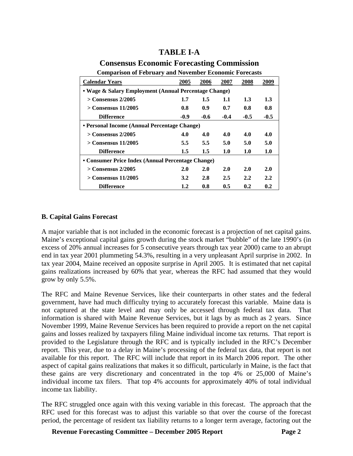# **TABLE I-A**

## **Consensus Economic Forecasting Commission**

| Comparison of February and Fovember Economic Forceasts |        |        |            |               |        |  |  |  |  |
|--------------------------------------------------------|--------|--------|------------|---------------|--------|--|--|--|--|
| <b>Calendar Years</b>                                  | 2005   | 2006   | 2007       | 2008          | 2009   |  |  |  |  |
| • Wage & Salary Employment (Annual Percentage Change)  |        |        |            |               |        |  |  |  |  |
| $>$ Consensus 2/2005                                   | 1.7    | 1.5    | 1.1        | 1.3           | 1.3    |  |  |  |  |
| $>$ Consensus 11/2005                                  | 0.8    | 0.9    | 0.7        | 0.8           | 0.8    |  |  |  |  |
| <b>Difference</b>                                      | $-0.9$ | $-0.6$ | $-0.4$     | $-0.5$        | $-0.5$ |  |  |  |  |
| • Personal Income (Annual Percentage Change)           |        |        |            |               |        |  |  |  |  |
| $>$ Consensus 2/2005                                   | 4.0    | 4.0    | 4.0        | 4.0           | 4.0    |  |  |  |  |
| $>$ Consensus 11/2005                                  | 5.5    | 5.5    | 5.0        | 5.0           | 5.0    |  |  |  |  |
| <b>Difference</b>                                      | 1.5    | 1.5    | 1.0        | 1.0           | 1.0    |  |  |  |  |
| • Consumer Price Index (Annual Percentage Change)      |        |        |            |               |        |  |  |  |  |
| $>$ Consensus 2/2005                                   | 2.0    | 2.0    | <b>2.0</b> | <b>2.0</b>    | 2.0    |  |  |  |  |
| $>$ Consensus 11/2005                                  | 3.2    | 2.8    | 2.5        | $2.2^{\circ}$ | 2.2    |  |  |  |  |
| <b>Difference</b>                                      | 1.2    | 0.8    | 0.5        | 0.2           | 0.2    |  |  |  |  |

# **Comparison of February and November Economic Forecasts**

#### **B. Capital Gains Forecast**

A major variable that is not included in the economic forecast is a projection of net capital gains. Maine's exceptional capital gains growth during the stock market "bubble" of the late 1990's (in excess of 20% annual increases for 5 consecutive years through tax year 2000) came to an abrupt end in tax year 2001 plummeting 54.3%, resulting in a very unpleasant April surprise in 2002. In tax year 2004, Maine received an opposite surprise in April 2005. It is estimated that net capital gains realizations increased by 60% that year, whereas the RFC had assumed that they would grow by only 5.5%.

The RFC and Maine Revenue Services, like their counterparts in other states and the federal government, have had much difficulty trying to accurately forecast this variable. Maine data is not captured at the state level and may only be accessed through federal tax data. That information is shared with Maine Revenue Services, but it lags by as much as 2 years. Since November 1999, Maine Revenue Services has been required to provide a report on the net capital gains and losses realized by taxpayers filing Maine individual income tax returns. That report is provided to the Legislature through the RFC and is typically included in the RFC's December report. This year, due to a delay in Maine's processing of the federal tax data, that report is not available for this report. The RFC will include that report in its March 2006 report. The other aspect of capital gains realizations that makes it so difficult, particularly in Maine, is the fact that these gains are very discretionary and concentrated in the top 4% or 25,000 of Maine's individual income tax filers. That top 4% accounts for approximately 40% of total individual income tax liability.

The RFC struggled once again with this vexing variable in this forecast. The approach that the RFC used for this forecast was to adjust this variable so that over the course of the forecast period, the percentage of resident tax liability returns to a longer term average, factoring out the

**Revenue Forecasting Committee – December 2005 Report Page 2**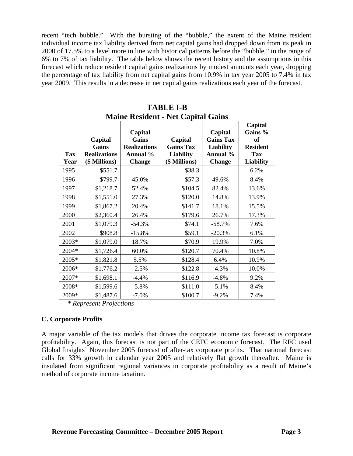recent "tech bubble." With the bursting of the "bubble," the extent of the Maine resident individual income tax liability derived from net capital gains had dropped down from its peak in 2000 of 17.5% to a level more in line with historical patterns before the "bubble," in the range of 6% to 7% of tax liability. The table below shows the recent history and the assumptions in this forecast which reduce resident capital gains realizations by modest amounts each year, dropping the percentage of tax liability from net capital gains from 10.9% in tax year 2005 to 7.4% in tax year 2009. This results in a decrease in net capital gains realizations each year of the forecast.

| <b>Tax</b><br>Year | Capital<br>Gains<br><b>Realizations</b><br>(\$ Millions) | Capital<br>Gains<br><b>Realizations</b><br>Annual %<br><b>Change</b> | Capital<br><b>Gains Tax</b><br><b>Liability</b><br>(\$ Millions) | Capital<br><b>Gains Tax</b><br><b>Liability</b><br>Annual %<br><b>Change</b> | Capital<br>Gains %<br>of<br><b>Resident</b><br><b>Tax</b><br>Liability |
|--------------------|----------------------------------------------------------|----------------------------------------------------------------------|------------------------------------------------------------------|------------------------------------------------------------------------------|------------------------------------------------------------------------|
| 1995               | \$551.7                                                  |                                                                      | \$38.3                                                           |                                                                              | 6.2%                                                                   |
| 1996               | \$799.7                                                  | 45.0%                                                                | \$57.3                                                           | 49.6%                                                                        | 8.4%                                                                   |
| 1997               | \$1,218.7                                                | 52.4%                                                                | \$104.5                                                          | 82.4%                                                                        | 13.6%                                                                  |
| 1998               | \$1,551.0                                                | 27.3%                                                                | \$120.0                                                          | 14.8%                                                                        | 13.9%                                                                  |
| 1999               | \$1,867.2                                                | 20.4%                                                                | \$141.7                                                          | 18.1%                                                                        | 15.5%                                                                  |
| 2000               | \$2,360.4                                                | 26.4%                                                                | \$179.6                                                          | 26.7%                                                                        | 17.3%                                                                  |
| 2001               | \$1,079.3                                                | $-54.3%$                                                             | \$74.1                                                           | $-58.7%$                                                                     | 7.6%                                                                   |
| 2002               | \$908.8                                                  | $-15.8%$                                                             | \$59.1                                                           | $-20.3%$                                                                     | 6.1%                                                                   |
| 2003*              | \$1,079.0                                                | 18.7%                                                                | \$70.9                                                           | 19.9%                                                                        | 7.0%                                                                   |
| 2004*              | \$1,726.4                                                | 60.0%                                                                | \$120.7                                                          | 70.4%                                                                        | 10.8%                                                                  |
| 2005*              | \$1,821.8                                                | 5.5%                                                                 | \$128.4                                                          | 6.4%                                                                         | 10.9%                                                                  |
| 2006*              | \$1,776.2                                                | $-2.5%$                                                              | \$122.8                                                          | $-4.3%$                                                                      | 10.0%                                                                  |
| 2007*              | \$1,698.1                                                | $-4.4%$                                                              | \$116.9                                                          | $-4.8%$                                                                      | 9.2%                                                                   |
| 2008*              | \$1,599.6                                                | $-5.8%$                                                              | \$111.0                                                          | $-5.1%$                                                                      | 8.4%                                                                   |
| 2009*              | \$1,487.6                                                | $-7.0%$                                                              | \$100.7                                                          | $-9.2%$                                                                      | 7.4%                                                                   |

**TABLE I-B Maine Resident - Net Capital Gains** 

 *\* Represent Projections* 

#### **C. Corporate Profits**

A major variable of the tax models that drives the corporate income tax forecast is corporate profitability. Again, this forecast is not part of the CEFC economic forecast. The RFC used Global Insights' November 2005 forecast of after-tax corporate profits. That national forecast calls for 33% growth in calendar year 2005 and relatively flat growth thereafter. Maine is insulated from significant regional variances in corporate profitability as a result of Maine's method of corporate income taxation.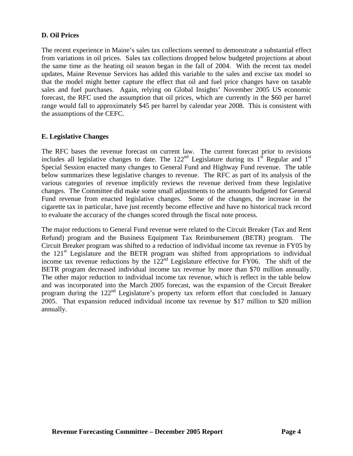#### **D. Oil Prices**

The recent experience in Maine's sales tax collections seemed to demonstrate a substantial effect from variations in oil prices. Sales tax collections dropped below budgeted projections at about the same time as the heating oil season began in the fall of 2004. With the recent tax model updates, Maine Revenue Services has added this variable to the sales and excise tax model so that the model might better capture the effect that oil and fuel price changes have on taxable sales and fuel purchases. Again, relying on Global Insights' November 2005 US economic forecast, the RFC used the assumption that oil prices, which are currently in the \$60 per barrel range would fall to approximately \$45 per barrel by calendar year 2008. This is consistent with the assumptions of the CEFC.

#### **E. Legislative Changes**

The RFC bases the revenue forecast on current law. The current forecast prior to revisions includes all legislative changes to date. The  $122<sup>nd</sup>$  Legislature during its 1<sup>st</sup> Regular and 1<sup>st</sup> Special Session enacted many changes to General Fund and Highway Fund revenue. The table below summarizes these legislative changes to revenue. The RFC as part of its analysis of the various categories of revenue implicitly reviews the revenue derived from these legislative changes. The Committee did make some small adjustments to the amounts budgeted for General Fund revenue from enacted legislative changes. Some of the changes, the increase in the cigarette tax in particular, have just recently become effective and have no historical track record to evaluate the accuracy of the changes scored through the fiscal note process.

The major reductions to General Fund revenue were related to the Circuit Breaker (Tax and Rent Refund) program and the Business Equipment Tax Reimbursement (BETR) program. The Circuit Breaker program was shifted to a reduction of individual income tax revenue in FY05 by the  $121<sup>st</sup>$  Legislature and the BETR program was shifted from appropriations to individual income tax revenue reductions by the  $122<sup>nd</sup>$  Legislature effective for FY06. The shift of the BETR program decreased individual income tax revenue by more than \$70 million annually. The other major reduction to individual income tax revenue, which is reflect in the table below and was incorporated into the March 2005 forecast, was the expansion of the Circuit Breaker program during the 122nd Legislature's property tax reform effort that concluded in January 2005. That expansion reduced individual income tax revenue by \$17 million to \$20 million annually.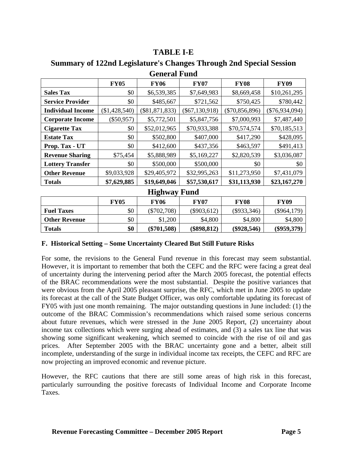# **TABLE I-E**

**Summary of 122nd Legislature's Changes Through 2nd Special Session** 

| ochthair ann             |                 |                  |                  |                  |                  |  |  |  |
|--------------------------|-----------------|------------------|------------------|------------------|------------------|--|--|--|
|                          | <b>FY05</b>     | <b>FY06</b>      | <b>FY07</b>      | <b>FY08</b>      | <b>FY09</b>      |  |  |  |
| <b>Sales Tax</b>         | \$0             | \$6,539,385      | \$7,649,983      | \$8,669,458      | \$10,261,295     |  |  |  |
| <b>Service Provider</b>  | \$0             | \$485,667        | \$721,562        | \$750,425        | \$780,442        |  |  |  |
| <b>Individual Income</b> | $(\$1,428,540)$ | $(\$81,871,833)$ | $(\$67,130,918)$ | $(\$70,856,896)$ | $(\$76,934,094)$ |  |  |  |
| <b>Corporate Income</b>  | $(\$50,957)$    | \$5,772,501      | \$5,847,756      | \$7,000,993      | \$7,487,440      |  |  |  |
| <b>Cigarette Tax</b>     | \$0             | \$52,012,965     | \$70,933,388     | \$70,574,574     | \$70,185,513     |  |  |  |
| <b>Estate Tax</b>        | \$0             | \$502,800        | \$407,000        | \$417,290        | \$428,095        |  |  |  |
| Prop. Tax - UT           | \$0             | \$412,600        | \$437,356        | \$463,597        | \$491,413        |  |  |  |
| <b>Revenue Sharing</b>   | \$75,454        | \$5,888,989      | \$5,169,227      | \$2,820,539      | \$3,036,087      |  |  |  |
| <b>Lottery Transfer</b>  | \$0             | \$500,000        | \$500,000        | \$0              | \$0              |  |  |  |
| <b>Other Revenue</b>     | \$9,033,928     | \$29,405,972     | \$32,995,263     | \$11,273,950     | \$7,431,079      |  |  |  |
| <b>Totals</b>            | \$7,629,885     | \$19,649,046     | \$57,530,617     | \$31,113,930     | \$23,167,270     |  |  |  |

# **General Fund**

**Highway Fund** 

|                      | FY05 | FY06          | FY07          | <b>FY08</b>   | FY09          |
|----------------------|------|---------------|---------------|---------------|---------------|
| <b>Fuel Taxes</b>    | \$0  | $(\$702,708)$ | $(\$903,612)$ | (\$933,346)   | (\$964,179)   |
| <b>Other Revenue</b> | \$0  | \$1,200       | \$4,800       | \$4,800       | \$4,800       |
| <b>Totals</b>        | \$0  | $(\$701,508)$ | $(\$898,812)$ | $(\$928,546)$ | $(\$959,379)$ |

#### **F. Historical Setting – Some Uncertainty Cleared But Still Future Risks**

For some, the revisions to the General Fund revenue in this forecast may seem substantial. However, it is important to remember that both the CEFC and the RFC were facing a great deal of uncertainty during the intervening period after the March 2005 forecast, the potential effects of the BRAC recommendations were the most substantial. Despite the positive variances that were obvious from the April 2005 pleasant surprise, the RFC, which met in June 2005 to update its forecast at the call of the State Budget Officer, was only comfortable updating its forecast of FY05 with just one month remaining. The major outstanding questions in June included: (1) the outcome of the BRAC Commission's recommendations which raised some serious concerns about future revenues, which were stressed in the June 2005 Report, (2) uncertainty about income tax collections which were surging ahead of estimates, and (3) a sales tax line that was showing some significant weakening, which seemed to coincide with the rise of oil and gas prices. After September 2005 with the BRAC uncertainty gone and a better, albeit still incomplete, understanding of the surge in individual income tax receipts, the CEFC and RFC are now projecting an improved economic and revenue picture.

However, the RFC cautions that there are still some areas of high risk in this forecast, particularly surrounding the positive forecasts of Individual Income and Corporate Income Taxes.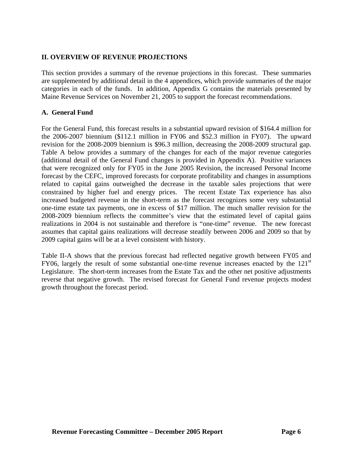#### **II. OVERVIEW OF REVENUE PROJECTIONS**

This section provides a summary of the revenue projections in this forecast. These summaries are supplemented by additional detail in the 4 appendices, which provide summaries of the major categories in each of the funds. In addition, Appendix G contains the materials presented by Maine Revenue Services on November 21, 2005 to support the forecast recommendations.

#### **A. General Fund**

For the General Fund, this forecast results in a substantial upward revision of \$164.4 million for the 2006-2007 biennium (\$112.1 million in FY06 and \$52.3 million in FY07). The upward revision for the 2008-2009 biennium is \$96.3 million, decreasing the 2008-2009 structural gap. Table A below provides a summary of the changes for each of the major revenue categories (additional detail of the General Fund changes is provided in Appendix A). Positive variances that were recognized only for FY05 in the June 2005 Revision, the increased Personal Income forecast by the CEFC, improved forecasts for corporate profitability and changes in assumptions related to capital gains outweighed the decrease in the taxable sales projections that were constrained by higher fuel and energy prices. The recent Estate Tax experience has also increased budgeted revenue in the short-term as the forecast recognizes some very substantial one-time estate tax payments, one in excess of \$17 million. The much smaller revision for the 2008-2009 biennium reflects the committee's view that the estimated level of capital gains realizations in 2004 is not sustainable and therefore is "one-time" revenue. The new forecast assumes that capital gains realizations will decrease steadily between 2006 and 2009 so that by 2009 capital gains will be at a level consistent with history.

Table II-A shows that the previous forecast had reflected negative growth between FY05 and FY06, largely the result of some substantial one-time revenue increases enacted by the  $121<sup>st</sup>$ Legislature. The short-term increases from the Estate Tax and the other net positive adjustments reverse that negative growth. The revised forecast for General Fund revenue projects modest growth throughout the forecast period.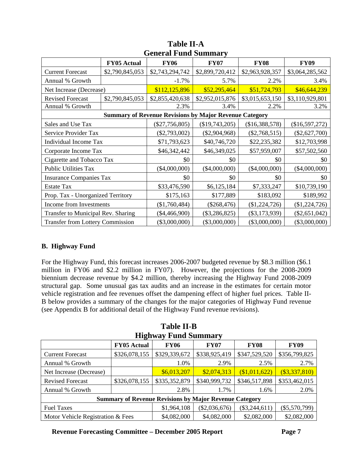| Ocherai I and Banniai y                 |                    |                                                               |                  |                 |                 |  |  |  |
|-----------------------------------------|--------------------|---------------------------------------------------------------|------------------|-----------------|-----------------|--|--|--|
|                                         | <b>FY05 Actual</b> | <b>FY06</b>                                                   | <b>FY07</b>      | <b>FY08</b>     | <b>FY09</b>     |  |  |  |
| <b>Current Forecast</b>                 | \$2,790,845,053    | \$2,743,294,742                                               | \$2,899,720,412  | \$2,963,928,357 | \$3,064,285,562 |  |  |  |
| Annual % Growth                         |                    | $-1.7%$                                                       | 5.7%             | 2.2%            | 3.4%            |  |  |  |
| Net Increase (Decrease)                 |                    | \$112,125,896                                                 | \$52,295,464     | \$51,724,793    | \$46,644,239    |  |  |  |
| <b>Revised Forecast</b>                 | \$2,790,845,053    | \$2,855,420,638                                               | \$2,952,015,876  | \$3,015,653,150 | \$3,110,929,801 |  |  |  |
| Annual % Growth                         |                    | 2.3%                                                          | 3.4%             | 2.2%            | 3.2%            |  |  |  |
|                                         |                    | <b>Summary of Revenue Revisions by Major Revenue Category</b> |                  |                 |                 |  |  |  |
| Sales and Use Tax                       |                    | $(\$27,756,805)$                                              | $(\$19,743,205)$ | (\$16,388,578)  | (\$16,597,272)  |  |  |  |
| Service Provider Tax                    |                    | $(\$2,793,002)$                                               | $(\$2,904,968)$  | $(\$2,768,515)$ | $(\$2,627,700)$ |  |  |  |
| <b>Individual Income Tax</b>            |                    | \$71,793,623                                                  | \$40,746,720     | \$22,235,382    | \$12,703,998    |  |  |  |
| Corporate Income Tax                    |                    | \$46,342,442                                                  | \$46,349,025     | \$57,959,007    | \$57,502,560    |  |  |  |
| Cigarette and Tobacco Tax               |                    | \$0                                                           | \$0              | \$0             | \$0             |  |  |  |
| <b>Public Utilities Tax</b>             |                    | $(\$4,000,000)$                                               | $(\$4,000,000)$  | $(\$4,000,000)$ | $(\$4,000,000)$ |  |  |  |
| <b>Insurance Companies Tax</b>          |                    | \$0                                                           | \$0              | \$0             | \$0             |  |  |  |
| <b>Estate Tax</b>                       |                    | \$33,476,590                                                  | \$6,125,184      | \$7,333,247     | \$10,739,190    |  |  |  |
| Prop. Tax - Unorganized Territory       |                    | \$175,163                                                     | \$177,889        | \$183,092       | \$189,992       |  |  |  |
| Income from Investments                 |                    | (\$1,760,484)                                                 | $(\$268,476)$    | $(\$1,224,726)$ | $(\$1,224,726)$ |  |  |  |
| Transfer to Municipal Rev. Sharing      |                    | $(\$4,466,900)$                                               | $(\$3,286,825)$  | $(\$3,173,939)$ | $(\$2,651,042)$ |  |  |  |
| <b>Transfer from Lottery Commission</b> |                    | $(\$3,000,000)$                                               | $(\$3,000,000)$  | $(\$3,000,000)$ | $(\$3,000,000)$ |  |  |  |

# **Table II-A General Fund Summary**

# **B. Highway Fund**

For the Highway Fund, this forecast increases 2006-2007 budgeted revenue by \$8.3 million (\$6.1 million in FY06 and \$2.2 million in FY07). However, the projections for the 2008-2009 biennium decrease revenue by \$4.2 million, thereby increasing the Highway Fund 2008-2009 structural gap. Some unusual gas tax audits and an increase in the estimates for certain motor vehicle registration and fee revenues offset the dampening effect of higher fuel prices. Table II-B below provides a summary of the changes for the major categories of Highway Fund revenue (see Appendix B for additional detail of the Highway Fund revenue revisions).

| <b>Table II-B</b> |                             |  |  |  |  |
|-------------------|-----------------------------|--|--|--|--|
|                   | <b>Highway Fund Summary</b> |  |  |  |  |
|                   |                             |  |  |  |  |

|                                                               | <b>FY05 Actual</b> | <b>FY06</b>     | <b>FY07</b>     | <b>FY08</b>     | <b>FY09</b>   |  |  |
|---------------------------------------------------------------|--------------------|-----------------|-----------------|-----------------|---------------|--|--|
| <b>Current Forecast</b>                                       | \$326,078,155      | \$329,339,672   | \$338,925,419   | \$347,529,520   | \$356,799,825 |  |  |
| Annual % Growth                                               |                    | 1.0%            | 2.9%            | 2.5%            | 2.7%          |  |  |
| Net Increase (Decrease)                                       |                    | \$6,013,207     | \$2,074,313     | (\$1,011,622)   | (\$3,337,810) |  |  |
| <b>Revised Forecast</b>                                       | \$326,078,155      | \$335,352,879   | \$340,999,732   | \$346,517,898   | \$353,462,015 |  |  |
| Annual % Growth                                               |                    | 2.8%            | 1.7%            | 1.6%            | 2.0%          |  |  |
| <b>Summary of Revenue Revisions by Major Revenue Category</b> |                    |                 |                 |                 |               |  |  |
| <b>Fuel Taxes</b>                                             | \$1,964,108        | $(\$2,036,676)$ | $(\$3,244,611)$ | $(\$5,570,799)$ |               |  |  |
| Motor Vehicle Registration & Fees                             | \$4,082,000        | \$4,082,000     | \$2,082,000     | \$2,082,000     |               |  |  |

**Revenue Forecasting Committee – December 2005 Report Page 7**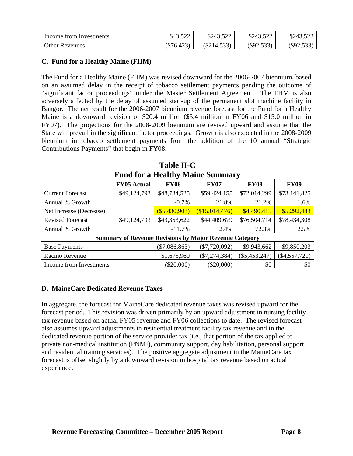| Income from Investments | ¢12 500<br>949.J <i>LL</i> | \$243,522  | \$243,522    | \$243,522 |
|-------------------------|----------------------------|------------|--------------|-----------|
| <b>Other Revenues</b>   | $(\$76,423)$               | (S214, 53) | $(\$92,533)$ | \$92,533) |

#### **C. Fund for a Healthy Maine (FHM)**

The Fund for a Healthy Maine (FHM) was revised downward for the 2006-2007 biennium, based on an assumed delay in the receipt of tobacco settlement payments pending the outcome of "significant factor proceedings" under the Master Settlement Agreement. The FHM is also adversely affected by the delay of assumed start-up of the permanent slot machine facility in Bangor. The net result for the 2006-2007 biennium revenue forecast for the Fund for a Healthy Maine is a downward revision of \$20.4 million (\$5.4 million in FY06 and \$15.0 million in FY07). The projections for the 2008-2009 biennium are revised upward and assume that the State will prevail in the significant factor proceedings. Growth is also expected in the 2008-2009 biennium in tobacco settlement payments from the addition of the 10 annual "Strategic Contributions Payments" that begin in FY08.

| <b>Fund for a Healthy Maine Summary</b>                       |                    |                  |                 |                 |              |  |  |
|---------------------------------------------------------------|--------------------|------------------|-----------------|-----------------|--------------|--|--|
|                                                               | <b>FY05 Actual</b> | <b>FY06</b>      | <b>FY07</b>     | <b>FY08</b>     | <b>FY09</b>  |  |  |
| <b>Current Forecast</b>                                       | \$49,124,793       | \$48,784,525     | \$59,424,155    | \$72,014,299    | \$73,141,825 |  |  |
| Annual % Growth                                               |                    | $-0.7%$          | 21.8%           | 21.2%           | 1.6%         |  |  |
| Net Increase (Decrease)                                       |                    | $($ \$5,430,903) | (\$15,014,476)  | \$4,490,415     | \$5,292,483  |  |  |
| <b>Revised Forecast</b>                                       | \$49,124,793       | \$43,353,622     | \$44,409,679    | \$76,504,714    | \$78,434,308 |  |  |
| Annual % Growth                                               |                    | $-11.7%$         | 2.4%            | 72.3%           | 2.5%         |  |  |
| <b>Summary of Revenue Revisions by Major Revenue Category</b> |                    |                  |                 |                 |              |  |  |
| <b>Base Payments</b>                                          | $(\$7,086,863)$    | $(\$7,720,092)$  | \$9,943,662     | \$9,850,203     |              |  |  |
| Racino Revenue                                                | \$1,675,960        | $(\$7,274,384)$  | $(\$5,453,247)$ | $(\$4,557,720)$ |              |  |  |
| Income from Investments                                       |                    | $(\$20,000)$     | $(\$20,000)$    | \$0             | \$0          |  |  |

**Table II-C Fund for a Healthy Maine Summary** 

# **D. MaineCare Dedicated Revenue Taxes**

In aggregate, the forecast for MaineCare dedicated revenue taxes was revised upward for the forecast period. This revision was driven primarily by an upward adjustment in nursing facility tax revenue based on actual FY05 revenue and FY06 collections to date. The revised forecast also assumes upward adjustments in residential treatment facility tax revenue and in the dedicated revenue portion of the service provider tax (i.e., that portion of the tax applied to private non-medical institution (PNMI), community support, day habilitation, personal support and residential training services). The positive aggregate adjustment in the MaineCare tax forecast is offset slightly by a downward revision in hospital tax revenue based on actual experience.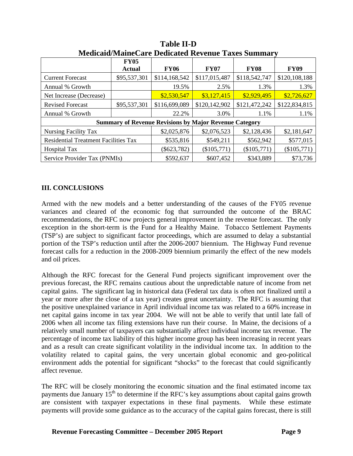| итепения мание саге в сакакса тестине талея ванниц |                              |               |                                                               |               |               |  |  |
|----------------------------------------------------|------------------------------|---------------|---------------------------------------------------------------|---------------|---------------|--|--|
|                                                    | <b>FY05</b><br><b>Actual</b> | <b>FY06</b>   | <b>FY07</b>                                                   | <b>FY08</b>   | <b>FY09</b>   |  |  |
| <b>Current Forecast</b>                            | \$95,537,301                 | \$114,168,542 | \$117,015,487                                                 | \$118,542,747 | \$120,108,188 |  |  |
| Annual % Growth                                    |                              | 19.5%         | 2.5%                                                          | 1.3%          | 1.3%          |  |  |
| Net Increase (Decrease)                            |                              | \$2,530,547   | \$3,127,415                                                   | \$2,929,495   | \$2,726,627   |  |  |
| <b>Revised Forecast</b>                            | \$95,537,301                 | \$116,699,089 | \$120,142,902                                                 | \$121,472,242 | \$122,834,815 |  |  |
| Annual % Growth                                    |                              | 22.2%         | 3.0%                                                          | 1.1%          | 1.1%          |  |  |
|                                                    |                              |               | <b>Summary of Revenue Revisions by Major Revenue Category</b> |               |               |  |  |
| Nursing Facility Tax                               |                              | \$2,025,876   | \$2,076,523                                                   | \$2,128,436   | \$2,181,647   |  |  |
| <b>Residential Treatment Facilities Tax</b>        | \$535,816                    | \$549,211     | \$562,942                                                     | \$577,015     |               |  |  |
| <b>Hospital Tax</b>                                | $(\$623,782)$                | $(\$105,771)$ | (\$105,771)                                                   | $(\$105,771)$ |               |  |  |
| Service Provider Tax (PNMIs)                       |                              | \$592,637     | \$607,452                                                     | \$343,889     | \$73,736      |  |  |

**Table II-D Medicaid/MaineCare Dedicated Revenue Taxes Summary** 

#### **III. CONCLUSIONS**

Armed with the new models and a better understanding of the causes of the FY05 revenue variances and cleared of the economic fog that surrounded the outcome of the BRAC recommendations, the RFC now projects general improvement in the revenue forecast. The only exception in the short-term is the Fund for a Healthy Maine. Tobacco Settlement Payments (TSP's) are subject to significant factor proceedings, which are assumed to delay a substantial portion of the TSP's reduction until after the 2006-2007 biennium. The Highway Fund revenue forecast calls for a reduction in the 2008-2009 biennium primarily the effect of the new models and oil prices.

Although the RFC forecast for the General Fund projects significant improvement over the previous forecast, the RFC remains cautious about the unpredictable nature of income from net capital gains. The significant lag in historical data (Federal tax data is often not finalized until a year or more after the close of a tax year) creates great uncertainty. The RFC is assuming that the positive unexplained variance in April individual income tax was related to a 60% increase in net capital gains income in tax year 2004. We will not be able to verify that until late fall of 2006 when all income tax filing extensions have run their course. In Maine, the decisions of a relatively small number of taxpayers can substantially affect individual income tax revenue. The percentage of income tax liability of this higher income group has been increasing in recent years and as a result can create significant volatility in the individual income tax. In addition to the volatility related to capital gains, the very uncertain global economic and geo-political environment adds the potential for significant "shocks" to the forecast that could significantly affect revenue.

The RFC will be closely monitoring the economic situation and the final estimated income tax payments due January  $15<sup>th</sup>$  to determine if the RFC's key assumptions about capital gains growth are consistent with taxpayer expectations in these final payments. While these estimate payments will provide some guidance as to the accuracy of the capital gains forecast, there is still

**Revenue Forecasting Committee – December 2005 Report Page 9**